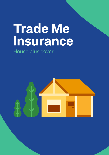# **Trade Me Insurance** House plus cover

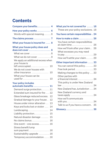# **Contents**

| Compare your benefits 4                                  |
|----------------------------------------------------------|
| How your policy works  6<br>Words with special meaning 6 |
| The claims process  7                                    |
| What your house is insured for $\dots$ 8                 |
| What your house policy does and<br>does not cover  8     |
| What we cover $\ldots \ldots \ldots \ldots 8$            |
| What we do not cover  9                                  |
| We apply an additional excess when<br>your house is      |
| left unoccupied<br>10                                    |
| We do not cover houses with<br>other insurance  10       |
| What your house can be<br>used for<br>10                 |
| <b>Your policy includes</b><br>automatic benefits  11    |

| Demand surge protection11           |   |
|-------------------------------------|---|
| Extended sum insured for fire 12    |   |
| Glass breakage reduced excess. 12   |   |
| Gradual damage to your house. 12    |   |
| House under minor alteration 13     |   |
| Keys and locks lost or stolen<br>14 |   |
| Landscaping<br>14                   | G |
| Liability protection $15$           |   |
| Natural disaster damage  15         |   |
| No claims bonus 16                  |   |
| One event $-$ one excess 16         |   |
| Stress benefit lump                 |   |
| sum payment 16                      |   |
| Sustainability upgrade 16           |   |
| Temporary accommodation16           |   |

| 4              | What you're not covered for  18                                                   |
|----------------|-----------------------------------------------------------------------------------|
| 6              | These are your policy exclusions . 18                                             |
| 6              | You have certain responsibilities . 24                                            |
| 7              | How to make a claim 26                                                            |
| 8              | You have certain responsibilities<br>at claim time<br>26                          |
| 8<br>8         | How we'll look after your claim 28<br>What excesses you may need                  |
| 9              | to pay29                                                                          |
|                | How we'll settle your claim 29                                                    |
| n              | Other important information  33                                                   |
| 0.             | You can cancel this policy33                                                      |
|                | Free look period 33                                                               |
| $\overline{0}$ | Making changes to this policy 33                                                  |
| $\overline{0}$ | Other parties with<br>a financial interest 34<br>This policy is under New Zealand |
| 1              |                                                                                   |
| $\overline{1}$ | New Zealand has Jurisdiction 34                                                   |
| $\overline{2}$ | New Zealand currency and<br>taxes apply 34                                        |
| $\overline{2}$ | How we'll communicate                                                             |
| $\overline{2}$ |                                                                                   |
| 3              | Talk to us if you have a concern. 35                                              |
| $\overline{A}$ |                                                                                   |
| .4             | Glossary 36                                                                       |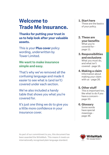# **Welcome to Trade Me Insurance.**

# **Thanks for putting your trust in us to help look after your valuable assets.**

This is your **Plus cover** policy wording, underwritten by Tower Limited.

# **We want to make insurance simple and easy.**

That's why we've removed all the confusing language and made it easier to see what is (and isn't) covered under each section.

We've also included a handy table that shows you what you're covered for.

It's just one thing we do to give you a little more confidence in your insurance cover.

- **1. Start here**  These are the basics of your policy.
- **2. These are your benefits** What you're covered for page 11.
- **3. Responsibilities and exclusions** What you must do, and what isn't covered - page 18.
- **4. Making a claim** Information about making your claim with us - page 26.

# **5. Other stuff**

This is important too, like what to do if you have a concern page 33.

# **6. Glossary**

Some words have special meanings page 36.

As part of our commitment to you, this document has been awarded the WriteMark. This means it meets an internationally recognised plain language standard.

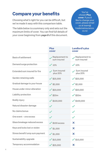# **Compare your benefits**

Choosing what's right for you can be difficult, but we've made it easy with this comparison table.

The table below is a summary only and sets out the maximum limits of cover. You can find full details of your cover beginning from page 8 of this document.

You've chosen **Plus cover**. If you'd like to change your cover, please email us at team@ trademeinsurance. co.nz

|                                 | <b>Plus</b><br>cover          | <b>Landlord's plus</b><br>cover                    |
|---------------------------------|-------------------------------|----------------------------------------------------|
| Basis of settlement             | Replacement to<br>sum insured | $\sqrt{\frac{1}{2}}$ Replacement to<br>sum insured |
| Demand surge protection         | $\sqrt{10\%}$                 | $\sqrt{10\%}$                                      |
| Extended sum insured for fire   | Sum insured<br>plus 20%       | Sum insured<br>plus 20%                            |
| Garden retaining walls          | $\checkmark$ \$25,000         | $\frac{$25,000}{$25,000}$                          |
| Gradual damage to your house    | $\checkmark$ \$2,000          | $\checkmark$ \$2,000                               |
| House under minor alteration    | $\checkmark$ \$20,000         | $\checkmark$ \$20,000                              |
| Liability protection            | $\frac{1}{20m}$               | $\checkmark$ \$20m                                 |
| Bodily injury                   | $\checkmark$ \$100,000        | $\checkmark$ \$100,000                             |
| Natural disaster damage         |                               |                                                    |
| No claims bonus                 |                               | İ                                                  |
| One event - one excess          | $\boldsymbol{\mathscr{S}}$    | $\boldsymbol{\mathscr{I}}$                         |
| Glass breakage reduced excess   | $\checkmark$ \$100 excess     | X                                                  |
| Keys and locks lost or stolen   | $\checkmark$ \$1,000          | X                                                  |
| Stress benefit lump sum payment | $\checkmark$ \$1,000          | X                                                  |
| Sustainability upgrade          | $\checkmark$ \$15,000         | $\checkmark$ \$15,000                              |
| Temporary accommodation         | $\frac{$25,000}{$25,000}$     | X                                                  |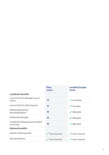|                                              | <b>Plus</b><br>cover     | <b>Landlord's plus</b><br>cover |
|----------------------------------------------|--------------------------|---------------------------------|
| Landlord's benefits                          |                          |                                 |
| Loss of rent for damage to your<br>house     | X                        | $\sqrt{8}$ months               |
| Loss of rent for other reasons               | $\boldsymbol{\times}$    | $\vee$ 8 weeks                  |
| Methamphetamine<br>decontamination           | $\boldsymbol{\times}$    | $\checkmark$ \$30,000           |
| Deliberate damage                            | $\boldsymbol{\times}$    | $\checkmark$ \$20,000           |
| Landlord's whiteware and window<br>coverings | $\boldsymbol{\times}$    | $\checkmark$ \$20,000           |
| <b>Optional benefits</b>                     |                          |                                 |
| Garden retaining walls                       | $\checkmark$ Sum insured | $\checkmark$ Sum insured        |
| Special features                             | $\checkmark$ Sum insured | $\checkmark$ Sum insured        |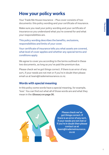# **How your policy works**

Your Trade Me House insurance – Plus cover consists of two documents: this policy wording and your certificate of insurance.

Make sure you read your policy wording and your certificate of insurance so you understand what you're covered for and what your responsibilities are.

This policy wording describes the benefits, exclusions, responsibilities and limits of your cover.

Your certificate of insurance tells you what assets are covered, what level of cover applies and whether any special terms and conditions apply.

We agree to cover you according to the terms outlined in these two documents, as long as you've paid the premium due.

Please check we've got things correct. If there is an error of any sort, if your needs are not met or if you're in doubt then please email us at team@trademeinsurance.co.nz.

### **Words with special meaning**

In this policy some words have a special meaning, for example, 'loss'. You can find out what all of those words are and what they mean in the *Glossary* on page 36.

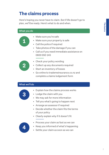# **The claims process**

Here's hoping you never have to claim. But if life doesn't go to plan, we'll be ready. Here's what to do and when.

#### What you do



- Make sure you're safe
- Make sure your property is safe
- Call the police if required
- Take photos of the damage if you can
- Call us if you need immediate assistance on 0800 950 145



- Check your policy wording
- Collect up any documents required
- Start an inventory of losses
- Go online to trademeinsurance.co.nz and complete a claims lodgement form

#### What we'll do



- Explain how the claims process works
- Lodge the claim with you
- We may ask for more information
- Tell you what's going to happen next
- Arrange an assessor if required
- Decide whether the claim fits the terms of your policy
- Clearly explain why if it doesn't fit



- Process your claim as fast as we can
- Keep you informed of what's happening
- Settle your claim as soon as we can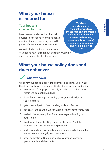# **What your house is insured for**

# **Your house is covered for loss.**

Loss means sudden and accidental physical loss or sudden and accidental physical damage occurring during the period of insurance in New Zealand.

This is an important part of your policy wording. Please read and understand it. If any of this document doesn't make sense, please email us at team@ trademeinsurance.co.nz and we'll explain it to you.

We've included limits and exclusions to your house cover throughout this policy wording and on your certificate of insurance.

# **What your house policy does and does not cover**

# **What we cover**

We cover your house meaning the domestic buildings you own at the situation shown on your certificate of insurance including its:

- 1. fixtures and fittings permanently attached, plumbed or wired within the domestic buildings
- 2. fitted floor coverings (including glued, smooth edge or tacked carpet)
- 3. gates, sealed paths, free standing walls and fences
- 4. decks, verandas and patios that are permanently constructed
- 5. sealed driveways required for access to your dwelling or outbuilding
- 6. fixed water tanks, heating tanks, septic tanks (and their systems) that are permanently plumbed
- 7. underground and overhead services extending to the public mains that you're legally responsible for
- 8. other domestic outbuildings such as garages, carports, garden sheds and sleep outs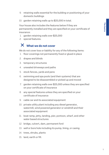- 9. retaining walls essential for the building or positioning of your domestic buildings
- 10. garden retaining walls up to \$25,000 in total.

Your house also includes the features below if they are permanently installed and they are specified on your certificate of insurance:

- 1. garden retaining walls over \$25,000
- 2. special features.

# **What we do not cover**

We do not cover loss or liability for any of the following items:

- 1. floor coverings not permanently fixed or glued in place
- 2. drapes and blinds
- 3. temporary structures
- 4. unsealed driveways and paths
- 5. stock fences, yards and pens
- 6. swimming and spa pools (and their systems) that are designed to be disassembled or picked up and moved
- 7. garden retaining walls over \$25,000 unless they are specified on your certificate of insurance
- 8. any special features unless they are specified on your certificate of insurance
- 9. cable car and its associated equipment
- 10. private utility plant including any diesel generator, watermill, wind powered generator or windmill and their associated equipment
- 11. boat ramp, jetty, landing, pier, pontoon, wharf, and other water based structures
- 12. bridge, culvert, dam, permanent ford
- 13. well or bore hole including its pump, lining, or casing
- 14. trees, shrubs, plants
- 15. land, earth or fill.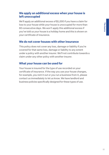### **We apply an additional excess when your house is left unoccupied**

We'll apply an additional excess of \$1,000 if you have a claim for loss to your house while your house is unoccupied for more than 60 consecutive days. We won't apply this additional excess if you've told us your house is a holiday home and this is shown on your certificate of insurance.

# **We do not cover houses with other insurance**

This policy does not cover any loss, damage or liability if you're covered for that same loss, damage or liability to any extent under a policy with another insurer. We'll not contribute towards a claim under any other policy with another insurer.

# **What your house can be used for**

Your house is insured for the type of use recorded on your certificate of insurance. If the way you use your house changes, for example, you rent it out or you run a business from it, please contact us immediately to let us know. We have landlord and business policies specifically designed for these types of use.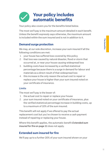# **Your policy includes automatic benefits**

Your policy also covers you for the benefits listed below.

The most we'll pay is the maximum amount detailed in each benefit. Unless the benefit expressly says otherwise, the maximum amount is included within the sum insured and is not in addition to it.

# **Demand surge protection**

We may, at our sole discretion, increase your sum insured if all the following conditions are met:

- 1. your house has suffered loss covered by this policy
- 2. that loss was caused by natural disaster, flood or storm that occurred at, or near your house causing widespread loss
- 3. building costs have increased by a verified statistical percentage because there is a surge in demand for labour and materials as a direct result of that widespread loss
- 4. this increase is the only reason the actual cost to repair or replace your house is higher than your sum insured noted on your certificate of insurance.

#### Limits

The most we'll pay is the lesser of:

- 1. the actual cost to repair or replace your house
- 2. your sum insured noted on your certificate of insurance, plus the verified statistical percentage increase in building costs, up to a maximum of 10% of the sum insured.

This benefit will not apply if we offered to pay the actual replacement cost but you've chosen to receive a cash payment instead of repairing or replacing your house.

Where this benefit applies, the automatic benefit **Extended sum** insured for fire on page 11 does not apply.

# **Extended sum insured for fire**

We'll pay up to a further 20% of your sum insured shown on your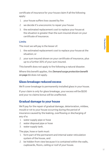certificate of insurance for your house claim if all the following apply:

- 1. your house suffers loss caused by fire
- 2. we decide it's uneconomic to repair your house
- 3. the estimated replacement cost to replace your house at the situation is greater than the sum insured shown on your certificate of insurance.

#### Limits

The most we will pay is the lesser of:

- 1. the estimated replacement cost to replace your house at the situation; or
- 2. your sum insured shown on your certificate of insurance, plus up to a further 20% of your sum insured.

This benefit does not apply to fire following a natural disaster.

Where this benefit applies, the Demand surge protection benefit on page 11 does not apply.

# **Glass breakage reduced excess**

We'll cover breakage to permanently installed glass in your house.

If your claim is only for glass breakage, your excess will be \$100 and your no claims bonus will be unaffected.

# **Gradual damage to your house**

We'll pay for the repair of gradual damage, deterioration, mildew, mould or rot to your house occurring during the period of insurance caused by the leaking, overflowing or discharging of any of a:

- 1. water supply pipe or hose
- 2. water disposal pipe or hose
- 3. water supply tank.

The pipe, hose or tank must:

- 1. form part of the permanent and internal water reticulation system of the house, and
- 2. be hidden from view because it is contained within the walls, cupboards, floors, ceiling or roof of your house.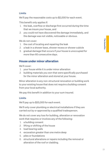#### Limits

We'll pay the reasonable costs up to \$2,000 for each event.

This benefit only applies if:

- 1. the leak, overflow or discharge first occurred during the time that we insure your house, and
- 2. you could not have discovered the damage immediately, and the damage was not visible, noticeable or obvious.

We do not cover:

- 1. the cost of locating and repairing the leak
- 2. a leak in a shower base, shower recess or shower cubicle
- 3. gradual damage that occurs if your house is unoccupied for more than 60 consecutive days.

# **House under minor alteration**

We'll cover:

- 1. your house while it is under minor alteration
- 2. building materials you own that were specifically purchased for the minor alteration and stored at your house.

Minor alteration is any non-structural renovation or building work to your existing house that does not require a building consent from your local authority.

We pay this benefit in addition to your sum insured.

#### Limits

We'll pay up to \$20,000 for each event.

We'll only cover plumbing or electrical installations if they are carried out by or approved by a qualified tradesperson.

We do not cover any loss for building, alteration or renovation work that requires or involves any of the following:

- 1. a building consent
- 2. lifting or shifting of the house
- 3. load bearing walls
- 4. excavation greater than one metre deep
- 5. piles or foundations
- 6. structural alterations or repairs including the removal or alteration of the roof or cladding.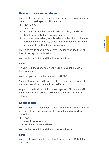# **Keys and locks lost or stolen**

We'll pay to replace your house keys or locks, or change house key codes, if during the period of insurance:

- 1. they're lost
- 2. they're stolen
- 3. you have reasonable grounds to believe they have been illegally duplicated without your permission
- 4. you have reasonable grounds to believe that the combination number or electronic key codes may have become known to someone else without your permission.

We'll also pay to open any safe in your house following theft or loss of the keys or combination.

We pay this benefit in addition to your sum insured.

#### Limits

This benefit does not apply if you've told us your house is a holiday home.

We'll pay your reasonable costs up to \$1,000.

Your first claim during the period of insurance will be excess-free and your no claims bonus will be unaffected.

Any additional claims within the same period of insurance will mean you pay your excess and your no claims bonus may be affected.

# **Landscaping**

We'll pay for the replacement of your lawn, flowers, trees, hedges or shrubs if they are damaged when your house suffers loss caused by:

- 1. fire, or
- 2. impact from a vehicle

where a claim is accepted by us.

We pay this benefit in addition to your sum insured.

#### Limit

We'll pay the reasonable cost of replacement up to \$2,000 for each event.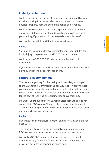# **Liability protection**

We'll cover you as the owner of your house for your legal liability to others arising from an accident at your house that causes physical property damage during the period of insurance.

We'll pay the reasonable costs and expenses incurred with our approval in defending the alleged legal liability. We'll do this if your liability, if proven, would be covered under this benefit.

We pay this benefit in addition to your sum insured.

#### Limits

You also have cover under this benefit for your legal liability for bodily injury to a person up to \$100,000 for each event.

We'll pay up to \$20,000,000 in total during the period of insurance.

If you have liability cover with us under any other policy, then we'll only pay under one policy for each event.

### **Natural disaster damage**

The premium you pay for this policy includes a levy that is paid to the Earthquake Commission under EQCover. This levy covers your house for natural disaster damage up to a limit set by them. When the Earthquake Commission pays under EQCover, we'll pay for the cost of repairing or replacing loss above this limit.

If parts of your house suffer natural disaster damage and do not come within EQCover, we'll pay for their repair or replacement. This includes any garden retaining walls or special features listed on your certificate of insurance.

#### Limits

If your house suffers natural disaster damage you must claim for EQCover first.

The most we'll pay is the difference between your cover under EQCover and your sum insured less any applicable excess.

We apply a \$5,000 excess in place of the excess that would otherwise apply for claims for natural disaster damage to any driveway, path, fence, swimming or spa pool.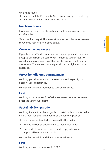We do not cover:

- 1. any amount the Earthquake Commission legally refuses to pay
- 2. any excess or deduction under EQCover.

#### **No claims bonus**

If you're eligible for a no claims bonus we'll adjust your premium to reflect this.

Your premium may still increase at renewal for other reasons even though you receive a no claims bonus.

#### **One event – one excess**

If your house suffers loss and we've accepted your claim, and we accept a claim from the same event for loss to your contents or your domestic vehicle or boat that we also insure, you'll only pay one excess. The excess that you pay will be the higher of those excesses.

### **Stress benefit lump sum payment**

We'll pay you a lump sum for the stress caused to you if your entire house is destroyed.

We pay this benefit in addition to your sum insured.

#### Limit

We'll pay a maximum of \$1,000 for each event as soon as we've accepted your house claim.

# **Sustainability upgrade**

We'll pay for you to add or upgrade to sustainable products in the build of your replacement house if all the following apply:

- 1. your house suffered a loss covered by this policy
- 2. we decided it was uneconomic to repair your house
- 3. the products you've chosen to add or upgrade to are approved by us as sustainable.

We pay this benefit in addition to your sum insured.

#### Limit

We'll pay up to a maximum of \$15,000.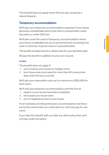This benefit does not apply where the loss was caused by a natural disaster.

# **Temporary accommodation**

We'll pay your temporary accommodation expenses if your house becomes uninhabitable due to loss that is covered either under this policy or under EQCover.

We'll also cover the costs of temporary accommodation where your house is habitable but you're prevented from accessing it by order or direction of government or local authorities.

The benefit includes kennel or cattery fees for your domestic pets.

We pay this benefit in addition to your sum insured.

#### Limits

This benefit does not apply if:

- 1. you've told us your house is a holiday home
- 2. vour house was unoccupied for more than 60 consecutive days when the loss occurred.

We'll pay your reasonable costs up to a maximum of \$25,000 for each event.

We'll only pay temporary accommodation until the first of:

- 1. repairs to your house have been completed
- 2. we've paid your house claim
- 3. vou've regained access to your house.

If we're already providing temporary accommodation and there are further events that you could claim for, we'll only pay for one event.

If you have this benefit with us under any other policy then we'll only pay under one policy.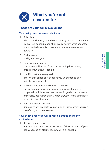

### **These are your policy exclusions**

#### Your policy does not cover liability for:

1. Asbestos

where such liability directly or indirectly arises out of, results from or is a consequence of, or in any way involves asbestos, or any materials containing asbestos in whatever form or quantity.

- 2. Bodily injury bodily injury to you.
- 3. Consequential losses consequential losses of any kind including loss of use, enjoyment, value, or income.
- 4. Liability that you've agreed liability that arises only because you've agreed to take liability upon yourself.
- 5. Vehicles, watercraft and aircraft you own the ownership, use or possession of any mechanically propelled vehicle (other than domestic garden implements or mobility scooters), trailer, caravan, watercraft, aircraft or other airborne devices.
- 6. Your or a trust's property damage to any property you own, or a trust of which you're a beneficiary or trustee owns.

#### Your policy does not cover any loss, damage or liability arising from:

1. 48 hour stand-down any loss that occurs within 48 hours of the start date of your policy caused by storm, flood, wildfire or landslip.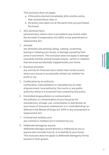This exclusion does not apply:

- a. if this policy started immediately after another policy that covered these risks, or
- b. the policy was taken out at the same time you purchased the house.
- 2. ACC personal injury

personal injury where cover is provided to any extent under the Accident Compensation Act 2001 or any amendment or replacement Act.

3. Animals

any domestic pet pecking, biting, clawing, scratching, tearing or chewing your house, or damage caused by their urine or excrement. This exclusion does not apply to damage caused by another animal (except insects, vermin or rodents) that becomes accidentally trapped inside your home.

- 4. Business activities any activity for financial return (other than rental income where your house is occasionally rented out) whether for profit or not.
- 5. Confiscation by an authority confiscation, nationalisation or requisition by an order of government, local authority, the courts or any public authority unless it is to prevent loss covered by this policy.
- 6. Controlled drugs pollution or contamination the pollution or contamination of your house by the manufacture, storage, use, consumption or distribution at your house of 'precursor substances' or a 'controlled drug' as defined in the Misuse of Drugs Act 1975 or any amendment or replacement Act.
- 7. Criminal and reckless acts any criminal or reckless act or omission by you.
- 8. Deliberate damage by anyone deliberate damage caused directly or indirectly by you or anyone who normally lives at, or is lawfully at your house. This exclusion does not apply to deliberate damage by fire by tenants or their guests.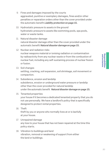- 9. Fines and damages imposed by the courts aggravated, punitive or exemplary damages, fines and/or other penalties or reparation orders other than the cover provided under the automatic benefit Liability protection on page 15.
- 10. Hydrostatic pressure to assets in the ground hydrostatic pressure to assets like swimming pools, spa pools, water or waste tanks.
- 11. Natural disaster damage natural disaster damage other than the cover provided under the automatic benefit Natural disaster damage on page 15.
- 12. Nuclear and radiation risks nuclear weapons material or ionising radiation or contamination

by radioactivity from any nuclear waste or from the combustion of nuclear fuel, including any self-sustaining process of nuclear fission or fusion.

13. Soil changes

settling, cracking, soil expansion, soil shrinkage, soil movement or compaction.

14. Subsidence, erosion and landslip subsidence, erosion or underground water pressure or landslip other than the cover provided for natural landslip under the automatic benefit Natural disaster damage on page 15.

#### 15. Tenanted properties

your house if it becomes a dedicated tenanted property that you do not use personally. We have a landlord's policy that is specifically designed to protect rental properties.

16 Theft

theft by you or anyone who normally lives at or is lawfully at your house.

- 17. Unrepaired damage any loss to your house that has not been repaired at the time this policy starts.
- 18. Vibration to buildings and land vibration, removal or weakening of support from either the land or buildings.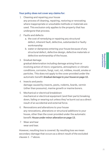#### Your policy does not cover any claims for:

- 1. Cleaning and repairing your house any process of cleaning, repairing, restoring or renovating where inappropriate or unsuitable methods or materials are used. This exclusion only applies to the property that has undergone that process.
- 2. Faults and defects
	- a. the cost of remedying or repairing any structural defect, inherent fault, defective, substandard or faulty workmanship
	- b. water or dampness entering your house because of any structural defect, defective design, defective materials or defective workmanship of the house.
- 3. Gradual damage

gradual deterioration including damage arising from or involving action of micro-organisms, atmospheric or climatic conditions, corrosion, fungi, rust, rot, mildew, mould, smoke or particles. This does not apply to the cover provided under the automatic benefit Gradual damage to your house on page 12.

4. Insects and pests

damage caused by insects, pests, rodents, lizards, vermin (other than possums), marine growth or marine borers.

- 5. Mechanical or electrical breakdown mechanical or electrical equipment (and their parts) breaking down, failing or wearing out unless they've burnt out as a direct result of an accidental and external force.
- 6. Renovations and alterations to your house any renovations, alterations or structural additions to your house, other than the cover provided under the automatic benefit House under minor alteration on page 13.
- 7. Wear and tear wear and tear.

However, resulting loss is covered. By resulting loss we mean secondary damage that occurs as a direct result of the excluded clauses 1 - 7 above.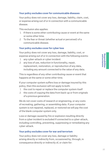#### Your policy excludes cover for communicable diseases

Your policy does not cover any loss, damage, liability, claim, cost, or expense arising out of or in connection with a communicable disease.

This exclusion also applies:

- 1. If there is some other contributing cause or event at the same or some other time.
- 2. To the fear or threat (whether actual or perceived) of a communicable disease.

#### Your policy excludes cover for cyber loss

Your policy does not cover any loss, damage, liability, cost, or expense arising out of or in connection with the following events:

- 1. any cyber-attack or cyber incident
- 2. any loss of use, reduction in functionality, repair, replacement, restoration, or reproduction of any data, including any amount connected to the value of any data.

This is regardless of any other contributing cause or event that happens at the same or some other time.

If your computer system suffers loss or damage insured by this policy, then this exclusion will not apply to both:

- 1. the cost to repair or replace the computer system itself
- 2. the costs of copying the data from back-up or from originals of a previous generation.

We do not cover costs of research or engineering, or any costs of recreating, gathering, or assembling data. If your computer system is not repaired, replaced, or restored we will pay the cost of the blank computer system only.

Loss or damage caused by fire or explosion resulting directly from a cyber incident is excluded if connected to a cyber-attack, including controlling, preventing, suppressing or remediating any cyber-attack.

#### Your policy excludes cover for war and terrorism

Your policy does not cover any loss, damage or liability arising directly or indirectly from, occasioned by, through, in consequence directly or indirectly of, or claim for: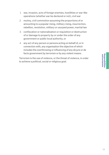- 1. war, invasion, acts of foreign enemies, hostilities or war-like operations (whether war be declared or not), civil war
- 2. mutiny, civil commotion assuming the proportions of or amounting to a popular rising, military rising, insurrection, rebellion, revolution, military or usurped power, martial law
- 3. confiscation or nationalisation or requisition or destruction of or damage to property by or under the order of any government or public local authority, or
- 4. any act of any person or persons acting on behalf of, or in connection with, any organisation the objective of which includes the overthrowing or influencing of any de jure or de facto government by terrorism or by any violent means.

Terrorism is the use of violence, or the threat of violence, in order to achieve a political, social or religious goal.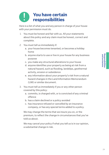# **You have certain responsibilities**

Here is a list of what you and any person in charge of your house with your permission must do.

- 1. You must be honest and fair with us. All your statements about this policy and any claim must be honest, correct and complete.
- 2. You must tell us immediately if:
	- a. your house becomes tenanted, or becomes a holiday home
	- b. anyone starts to use or live in your house for any business purpose
	- c. you make any structural alterations to your house
	- d. anyone identifies your property as being at risk from a natural hazard, such as flooding, landslips, geothermal activity, erosion or subsidence
	- e. any information about your property's risk from a natural hazard changes in the Land Information Memorandum (LIM) or similar document.
- 3. You must tell us immediately if you or any other person covered by this policy:
	- a. commits, is charged with, or is convicted of any criminal offence
	- b. has a claim declined or a policy avoided
	- c. has insurance refused or cancelled by an insurance company, or has any special terms added to a policy.

We may change the terms that we insure you on, or the premium, to reflect the change in circumstances that you've told us about.

We may cancel your policy if what you tell us is in our opinion, a substantial change in risk.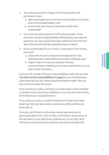- 4. You and any person in charge of your house with your permission must:
	- a. take reasonable care to protect and maintain your house and to avoid legal liability, and
	- b. ensure that your house is securely locked when unattended.
- 5. You must pay all premiums in full by the due date. If any premium remains unpaid 28 days following the due date for payment, we may cancel this policy (effective from the first day of the period that the unpaid premium relates).
- 6. If you occasionally let your house, or any part of your house, you must:
	- a. ensure the house is cleaned and inspected for loss following each rental before any bond is released, and
	- b. make a claim for loss you discover with any accommodation booking service you used before you can claim under this policy.

If you do not comply with your responsibilities under this section, You have certain responsibilities on page 24, we can decline any claim (and recover any claims payment already made). We can also cancel or avoid this policy.

If we cancel your policy, we'll give you seven days' notice emailed or posted to your last known address on our records. If we do this, we'll refund your unused premium.

If we avoid your policy, it will be treated as if it had never been taken out. We may also avoid or cancel any other policies you have with us.

If we ask, you'll have to refund any claims payments we've previously paid to you. If we do this, we'll email or post notice of this decision to your last known address on our records. We'll refund your entire premium paid less any claims already paid.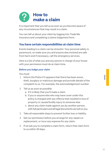

It is important that you tell us as soon as you become aware of any circumstances that may result in a claim.

You can tell us about your claim by logging into Trade Me Insurance and completing a claims lodgement form.

# **You have certain responsibilities at claim time**

Events leading to a claim can be stressful. Your personal safety is paramount, so make sure you and anyone else involved are safe from harm and if necessary, call the emergency services.

Here is a list of what you and any person in charge of your house with your permission must do at claim time.

#### Before you lodge your claim

You must:

- 1. Inform the Police if it appears that there has been arson, theft, burglary or malicious damage and provide details of the complaint to us. For example, the acknowledgement number.
- 2. Tell us as soon as possible:
	- a. if it is likely that you'll make a claim
	- b. if you or anyone else who may have cover under this policy is charged with any offence that resulted in loss of property or caused bodily injury to someone else
	- c. about any claim made against you by another person, with full particulars and all legal documents served on you.
- 3. Take all reasonable steps to prevent further loss or liability.
- 4. Get our permission before you arrange for any repairs or replacement, or incur any expense for any claim.
- 5. If we ask you to complete a claim form, return that claim form to us within 30 days.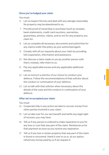#### Once you've lodged your claim

You must:

- 6. Let us inspect the loss and deal with any salvage reasonably. No property may be abandoned to us.
- 7. Provide proof of ownership or purchase (such as receipts, bank statements, credit card vouchers, warranties, guarantees, photos, videos, and so on) for any property you claim for.
- 8. Let us complete all necessary documents and authorities for any claims under this policy as your authorised agent.
- 9. Comply with all our requests about your claim by providing full cooperation, information and assistance.
- 10. Not discuss a claim made on you by another person with them; instead, refer them to us.
- 11. Pay any applicable excess and any applicable additional excess.
- 12. Let us instruct a solicitor of our choice to conduct your defence. Follow the recommendations of that solicitor about the conduct or continuation of your defence.
- 13. Let us talk with that solicitor when necessary about the details of the case and the conduct or continuation of your defence.

#### After we've accepted your claim

You must:

- 14. Cooperate fully in any action we take to recover money from other parties involved in your claim.
- 15. Let us take over for our own benefit and settle any legal right of recovery you may have.
- 16. Tell us if any person is ordered to make reparation to you for any loss or cost that was part of the claim. Reimburse us for that payment as soon as you receive any reparation.
- 17. Tell us if any lost or stolen property that was part of the claim is found or recovered. Hand it over to us or, at our option, refund any money paid by us if we request it.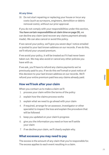#### At any time:

18. Do not start repairing or replacing your house or incur any costs (such as surveyors, engineers, demolition or debris removal costs), without our prior approval.

If you do not comply with your responsibilities under this section, You have certain responsibilities at claim time on page 26, we can decline any claim (and recover any claims payment already made). We can also cancel or avoid this policy.

If we cancel your policy, we'll give you seven days' notice emailed or posted to your last known address on our records. If we do this, we'll refund your unused premium.

If we avoid your policy, it will be treated as if it had never been taken out. We may also avoid or cancel any other policies you have with us.

If we ask, you'll have to refund any claims payments we've previously paid to you. If we do this we'll email or post notice of this decision to your last known address on our records. We'll refund your entire premium paid less any claims already paid.

# **How we'll look after your claim**

When you contact us to make a claim we'll:

- 1. process your claim within the terms of the policy
- 2. explain how the claims process works
- 3. explain what we need to go ahead with your claim
- 4. if required, arrange for an assessor, investigator or other specialist to inspect the loss and explain the procedure that will be followed
- 5. keep you updated on your claim's progress
- 6. give you the information you need on how we'll settle your claim
- 7. if we decline your claim, we'll clearly explain why.

#### **What excesses you may need to pay**

The excess is the amount of any claim that you're responsible for. The excess applies to each event resulting in a claim.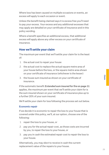Where loss has been caused on multiple occasions or events, an excess will apply to each occasion or event.

Unless the benefit being claimed says it is excess free you'll need to pay your excess. Your excess and any additional excesses that may apply are detailed on your certificate of insurance and in this policy wording.

Where a benefit specifies an additional excess, that additional excess will apply above any other excess on your certificate of insurance.

# **How we'll settle your claim**

The maximum per event that we'll settle your claim for is the least of:

- 1. the actual cost to repair your house
- 2. the actual cost to replace the actual square metre area of your house before the loss, or the square metre area shown on your certificate of insurance (whichever is the lesser)
- 3. the house sum insured as shown on your certificate of insurance.

If the automatic benefit Extended sum insured for fire on page 11 applies, the maximum per event that we'll settle your claim for is the sum insured shown on your certificate of insurance plus up to a further 20% of your sum insured.

We'll settle your claim for loss following the process set out below.

#### Economic repair

If we decide it is economic to repair the loss to your house that is covered under this policy, we'll, at our option, choose one of the following:

- 1. repair the loss to your house, or
- 2. pay you for the actual repair cost, as those costs are incurred by you, to repair the loss to your house, or
- 3. pay you in cash the estimated repair cost to repair the loss to your house.

Alternatively, you may elect to receive in cash the current replacement value of the repairs to your house.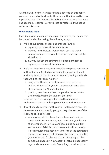Clain

After a partial loss to your house that is covered by this policy, your sum insured will reduce by the amount that it would take to repair that loss. We'll restore the full sum insured once the house has been fully repaired. Cover will not be restored if the house suffers a total loss.

#### Uneconomic repair

If we decide it is uneconomic to repair the loss to your house that is covered under this policy, the following apply:

- 1. We'll, at our option, choose one of the following:
	- a. replace your house at the situation, or
	- b. pay you for the actual replacement cost, as those costs are incurred by you, to replace your house at the situation, or
	- c. pay you in cash the estimated replacement cost to replace your house at the situation.
- 2. If it is not legally or practically possible to replace your house at the situation, (including for example; because of local authority laws, or the circumstances surrounding the land) then we'll, at your option, either:
	- a. pay you for the actual replacement cost, as those costs are incurred by you, to replace your house at an alternative site in New Zealand, or
	- b. pay for you to buy another comparable house in New Zealand (excluding the value of the land) provided the cost is not greater than the estimated replacement cost of replacing your house at the situation.
- 3. If we choose to pay you for the actual replacement cost, as those costs are incurred by you, you may choose one of the following options instead:
	- a. you may be paid for the actual replacement cost, as those costs are incurred by you, to replace your house at another site in New Zealand (excluding demolition and removal of debris costs unless actually incurred). This is provided the cost is not more than the estimated replacement cost of replacing your house at the situation
	- b. you may be paid for the actual cost of buying another comparable house in New Zealand, including necessary legal and associated costs (excluding the value of the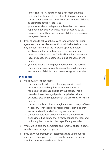land). This is provided the cost is not more than the estimated replacement cost of replacing your house at the situation (excluding demolition and removal of debris costs unless actually incurred)

- c. you may receive a cash payment based on the current replacement value of your house, as assessed by us, excluding demolition and removal of debris costs unless we agree otherwise.
- 4. If you choose to sell your house and land without our prior agreement, your settlement options will be limited and you may choose from one of the following options instead:
	- a. we'll pay you for the actual cost of buying another comparable house in New Zealand including necessary legal and associated costs (excluding the value of the land)
	- b. you may receive a cash payment based on the current replacement value of your house excluding demolition and removal of debris costs unless we agree otherwise.

#### In all cases:

- 1. We'll pay, where necessary:
	- a. the reasonable extra cost of complying with local authority laws and regulations when repairing or replacing the damaged parts of your house. This is provided those damaged parts complied with local authority laws and regulations at the time they were built or altered
	- b. the reasonable architects', engineers' and surveyors' fees necessary for the repair or replacement, provided they are authorised by us before they are incurred
	- c. the reasonable cost of demolition and the removal of debris including debris that directly caused the loss, and including the contents unless specifically excluded.
- 2. Where we've paid the demolition and removal of debris costs, we retain any salvaged property.
- 3. If you pay your premium by instalments and your house is uneconomic to repair, you must pay the rest of the annual premium before we settle your claim.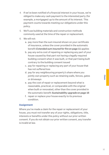- 4. If we've been notified of a financial interest in your house, we're obliged to make any cash payment to the interested party (for example, a mortgagee) up to the amount of its interest. This payment counts towards meeting our obligations under this policy.
- 5. We'll use building materials and construction methods commonly used at the time of the repair or replacement.
- 6. We will not:
	- a. pay more than the sum insured shown on your certificate of insurance, unless the cover provided in the automatic benefit Extended sum insured for fire on page 11 applies
	- b. pay any extra cost of repairing or replacing any part of your house caused by that part not having a legally required building consent when it was built, or that part being built contrary to the building consent issued
	- c. pay for repairing or replacing any part of your house that has not suffered loss
	- d. pay for any neighbouring property's share where you jointly own property such as retaining walls, fences, gates or driveways
	- e. pay the cost of repair or replacement beyond what is reasonable, practical, or comparable with the original when built or renovated, other than the cover provided in the automatic benefit Sustainability upgrade on page 16
	- f. repair or replace your house exactly to its previous condition.

#### **Assignment**

Where you've made a claim for the repair or replacement of your house, you must not transfer any of your rights, obligations, title, interests or benefits under this policy without our prior written consent. If you do not obtain our prior written consent, any transfer is invalid at law.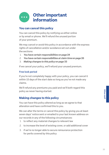

# **You can cancel this policy**

You can cancel this policy by notifying us either online or by email or phone. We'll refund the unused portion of your premium.

We may cancel or avoid this policy in accordance with the express rights of cancellation and/or avoidance set out under the sections:

- 1. You have certain responsibilities on page 24
- 2. You have certain responsibilities at claim time on page 26
- 3. Making changes to this policy on page 33

If we cancel your policy, we'll refund your unused premium.

#### Free look period

If you're not completely happy with your policy, you can cancel it within 15 days of the start date so long as you've not made any claims.

We'll refund any premiums you paid and we'll both regard this policy as never having started.

# **Making changes to this policy**

You can have this policy altered as long as we agree to that alteration and have confirmed this to you.

We can alter the terms or cancel this policy by giving you at least seven days' notice sent or emailed to your last known address on our records in any of the following circumstances:

- 1. to reflect any material changes to relevant law
- 2. to increase the level of existing cover, or add additional cover
- 3. if we're no longer able to secure reinsurance protection for perils covered by this policy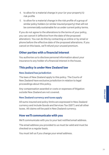- 4. to allow for a material change in your (or your property's) risk profile
- 5. to allow for a material change in the risk profile of a group of similar policy holders (or similar insured property) that will not be commercially sustainable for us under current policy terms.

If you do not agree to the alterations to the terms of your policy, you can cancel it (effective from the date of the proposed alteration). You can do this by contacting us online or by email or phone before the effective date of the proposed alterations. If you cancel on this basis, we'll refund your unused premium.

# **Other parties with a financial interest**

You authorise us to disclose personal information about your insurance to any holder of a financial interest in the house.

# **This policy is under New Zealand law**

#### New Zealand has jurisdiction

The laws of New Zealand apply to this policy. The Courts of New Zealand have exclusive jurisdiction in relation to legal proceedings about this policy.

Any compensation awarded or costs or expenses of litigation outside New Zealand are not covered.

#### New Zealand currency and taxes apply

All sums insured and policy limits are expressed in New Zealand currency and include Goods and Services Tax (GST) and all other taxes. All claims will be paid in New Zealand currency.

### **How we'll communicate with you**

We'll communicate with you to your last notified email address.

The email address you provided to us must be valid and must be checked on a regular basis.

You must tell us if you change your email address.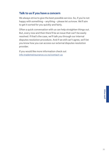# **Talk to us if you have a concern**

We always strive to give the best possible service. So, if you're not happy with something – anything – please let us know. We'll aim to get it sorted for you quickly and fairly.

Often a quick conversation with us can help straighten things out. But, every now and then there'll be an issue that can't be easily resolved. If that's the case, we'll talk you through our internal disputes resolution procedure. And if we still can't agree, we'll let you know how you can access our external disputes resolution provider.

If you would like more information check out info.trademeinsurance.co.nz/contact-us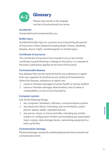

# **Glossary**

Please note words in the singular can be in the plural and vice versa.

#### **Accidental**

Unintended and unexpected by you.

#### Bodily injury

Accidental bodily injury to a person occurring during the period of insurance in New Zealand including death, illness, disability, disease, shock, fright, mental anguish or mental injury.

#### Certificate of insurance

The certificate of insurance first issued to you or any further certificate issued following a change to the policy or a renewal of the policy (whichever applies at the time of the event).

#### Communicable disease

Any disease that can be transmitted by any substance or agent from any organism to another by any method of transmission where the disease, substance or agent can:

- 1. cause or threaten damage to human health or human welfare
- 2. cause or threaten damage; deterioration; loss of value or marketability; or loss of use of property.

#### Computer system

Any of the following things:

- 1. any computer, hardware, software, communications system
- 2. any electronic device (including, but not limited to, smart phone, laptop, tablet, wearable device)
- 3. any server, cloud, or microcontroller, including any similar system or configuration of them and including any associated input, output, data storage device, networking equipment or back up facility.

#### Contamination damage

Physical damage caused by methamphetamine that exceeds the contamination level.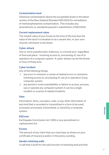#### Contamination level

Chemical contamination above the acceptable levels in the latest version of the New Zealand Standard NZS 8510 for remediation of methamphetamine contamination. This includes any amendments or standards passed in substitution of NZS 8510.

#### Current replacement value

The market value of your house at the time of the loss less the value of the land it is situated on as a vacant site, or your sum insured, whichever is the lesser.

#### Cyber-attack

One or more unauthorised, malicious, or criminal acts regardless of time and place - involving access to, processing of, use of or operation of a computer system. A cyber-attack can be the threat or hoax of these acts.

#### Cyber incident

Any of the following things:

- 1. any error or omission or series of related errors or omissions involving access to, processing of, use of or operation of any computer system
- 2. any partial or total unavailability or failure to access, process, use or operate any computer system; it can be a single incident or a series of related incidents.

#### Data

Information, facts, concepts, code, or any other information of any kind that is recorded or transmitted in a form to be used, accessed, processed, transmitted, or stored by a computer system.

#### **EQCover**

Earthquake Commission Act 1993 or any amendment or replacement Act.

#### **Excess**

The amount of any claim that you must bear as shown on your certificate of insurance and/or in this policy wording.

#### Garden retaining walls

A wall that is built for the sole function of retaining land and that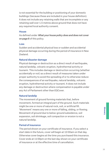is not essential for the building or positioning of your domestic buildings (because these are included in your house definition). It does not include any retaining walls that are incomplete or any retaining wall over 1.5 metres above ground that does not have any required local authority consent.

#### **House**

As defined under What your house policy does and does not cover on page 8 of this policy.

#### Loss

Sudden and accidental physical loss or sudden and accidental physical damage occurring during the period of insurance in New Zealand.

#### Natural disaster damage

Physical damage or destruction as a direct result of earthquake, natural landslip, volcanic eruption, hydrothermal activity or tsunami. This includes damage or destruction occurring (whether accidentally or not) as a direct result of measures taken under proper authority to avoid the spreading of or to otherwise reduce the consequences of an earthquake, natural landslip, volcanic eruption, hydrothermal activity or tsunami. It does not include any damage or destruction where compensation is payable under any Act of Parliament other than EQCover.

#### Natural landslip

The movement of ground forming materials that, before movement, formed an integral part of the ground. Such materials might be one or more of natural rock, soil, or artificial fill. 'Movement' means any one or more of falling, sliding, or flowing. Movement of ground due to below-ground subsidence, soil expansion, soil shrinkage, soil compaction or erosion is not a natural landslip.

#### Period of insurance

The period shown on your certificate of insurance. If you select a start date in the future, cover will begin at 12:00am on that day. Otherwise cover begins at the time you purchased this insurance. Cover ends at 11:59pm on the last day shown on your certificate of insurance or at the effective time of cancellation.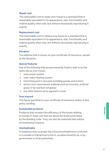#### Repair cost

The reasonable cost to repair your house to a standard that is reasonably equivalent to its appearance, size, functionality and relative quality when new, but without necessarily reproducing it exactly.

#### Replacement cost

The reasonable cost to replace your house to a standard that is reasonably equivalent to its appearance, size, functionality and relative quality when new, but without necessarily reproducing it exactly.

#### **Situation**

The address that is shown on your certificate of insurance, named as the Situation.

#### Special features

Any of the following that are permanently fixed or built in on the same site as your house:

- 1. solar power system
- 2. solar water heating system
- 3. swimming pool or spa pool including pumps and motors
- 4. tennis court (permanent material such as concrete, artificial grass or tar seal but not grass)
- 5. any other feature we've agreed to cover.

#### Sum insured

The figure specified on your certificate of insurance and/or in this policy wording.

#### Sustainable products

Products that increase the efficiency of the house relating to energy or water use that are above the levels prescribed by the Building Code. They can also be materials that reduce environmental impacts.

#### Uninhabitable

A residence that no longer has a functional bathroom or kitchen or is unsafe or impractical to live in, as determined by us, or by government or local authorities.